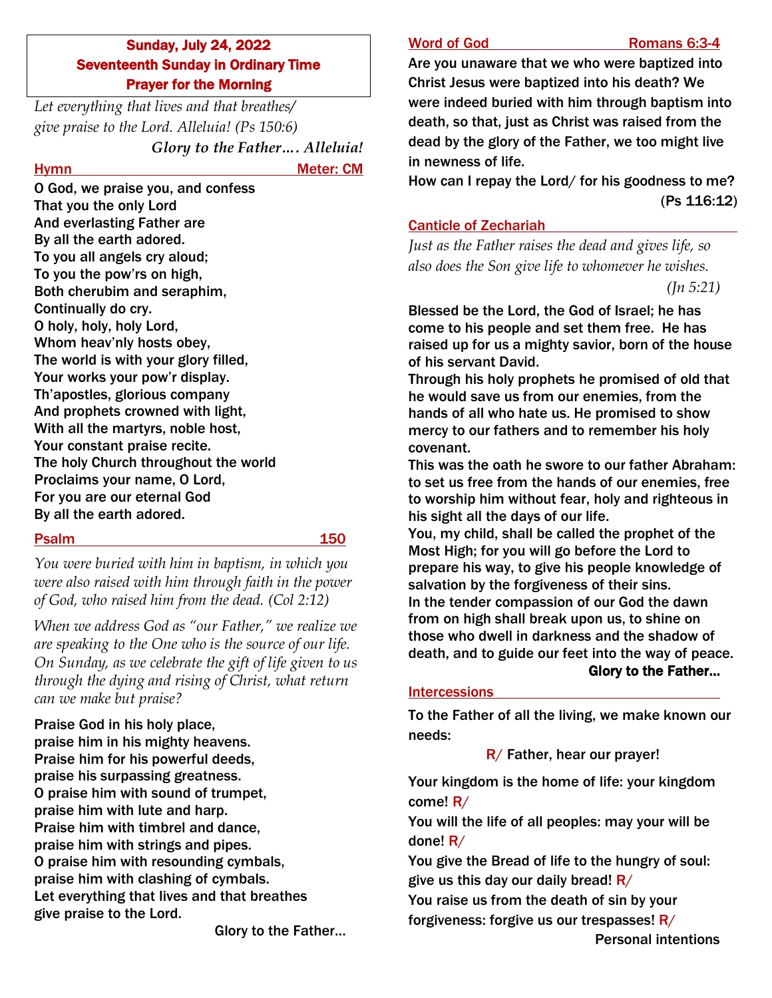# Sunday, July 24, 2022 Seventeenth Sunday in Ordinary Time Prayer for the Morning

*Let everything that lives and that breathes/ give praise to the Lord. Alleluia! (Ps 150:6) Glory to the Father…. Alleluia!*

Hymn Meter: CM

O God, we praise you, and confess That you the only Lord And everlasting Father are By all the earth adored. To you all angels cry aloud; To you the pow'rs on high, Both cherubim and seraphim, Continually do cry. O holy, holy, holy Lord, Whom heav'nly hosts obey, The world is with your glory filled, Your works your pow'r display. Th'apostles, glorious company And prophets crowned with light, With all the martyrs, noble host, Your constant praise recite. The holy Church throughout the world Proclaims your name, O Lord, For you are our eternal God By all the earth adored.

### Psalm 150

*You were buried with him in baptism, in which you were also raised with him through faith in the power of God, who raised him from the dead. (Col 2:12)*

*When we address God as "our Father," we realize we are speaking to the One who is the source of our life. On Sunday, as we celebrate the gift of life given to us through the dying and rising of Christ, what return can we make but praise?*

Praise God in his holy place, praise him in his mighty heavens. Praise him for his powerful deeds, praise his surpassing greatness. O praise him with sound of trumpet, praise him with lute and harp. Praise him with timbrel and dance, praise him with strings and pipes. O praise him with resounding cymbals, praise him with clashing of cymbals. Let everything that lives and that breathes give praise to the Lord.

Glory to the Father…

### Word of God **Romans 6:3**

Are you unaware that we who were baptized into Christ Jesus were baptized into his death? We were indeed buried with him through baptism into death, so that, just as Christ was raised from the dead by the glory of the Father, we too might live in newness of life.

How can I repay the Lord/ for his goodness to me? (Ps 116:12)

## Canticle of Zechariah

*Just as the Father raises the dead and gives life, so also does the Son give life to whomever he wishes. (Jn 5:21)*

Blessed be the Lord, the God of Israel; he has come to his people and set them free. He has raised up for us a mighty savior, born of the house of his servant David.

Through his holy prophets he promised of old that he would save us from our enemies, from the hands of all who hate us. He promised to show mercy to our fathers and to remember his holy covenant.

This was the oath he swore to our father Abraham: to set us free from the hands of our enemies, free to worship him without fear, holy and righteous in his sight all the days of our life.

You, my child, shall be called the prophet of the Most High; for you will go before the Lord to prepare his way, to give his people knowledge of salvation by the forgiveness of their sins. In the tender compassion of our God the dawn from on high shall break upon us, to shine on those who dwell in darkness and the shadow of death, and to guide our feet into the way of peace. Glory to the Father…

### **Intercessions**

To the Father of all the living, we make known our needs:

 $R/$  Father, hear our prayer!

Your kingdom is the home of life: your kingdom come! R/

You will the life of all peoples: may your will be done! R/

You give the Bread of life to the hungry of soul: give us this day our daily bread!  $R/$ 

You raise us from the death of sin by your forgiveness: forgive us our trespasses!  $R/$ 

Personal intentions